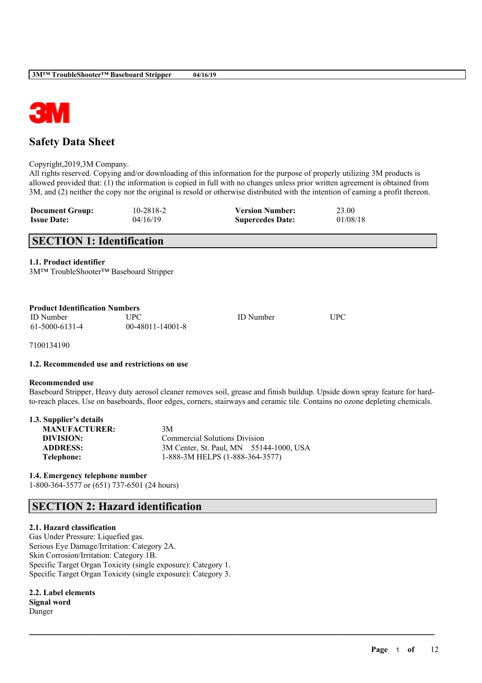

# **Safety Data Sheet**

Copyright,2019,3M Company.

All rights reserved. Copying and/or downloading of this information for the purpose of properly utilizing 3M products is allowed provided that: (1) the information is copied in full with no changes unless prior written agreement is obtained from 3M, and (2) neither the copy nor the original is resold or otherwise distributed with the intention of earning a profit thereon.

| <b>Document Group:</b> | 10-2818-2 | <b>Version Number:</b>  | 23.00    |
|------------------------|-----------|-------------------------|----------|
| <b>Issue Date:</b>     | 04/16/19  | <b>Supercedes Date:</b> | 01/08/18 |

# **SECTION 1: Identification**

**1.1. Product identifier**

3M™ TroubleShooter™ Baseboard Stripper

| <b>Product Identification Numbers</b> |                    |                  |            |  |
|---------------------------------------|--------------------|------------------|------------|--|
| <b>ID</b> Number                      | UPC                | <b>ID</b> Number | <b>UPC</b> |  |
| 61-5000-6131-4                        | $00-48011-14001-8$ |                  |            |  |

7100134190

### **1.2. Recommended use and restrictions on use**

### **Recommended use**

Baseboard Stripper, Heavy duty aerosol cleaner removes soil, grease and finish buildup. Upside down spray feature for hardto-reach places. Use on baseboards, floor edges, corners, stairways and ceramic tile. Contains no ozone depleting chemicals.

 $\mathcal{L}_\mathcal{L} = \mathcal{L}_\mathcal{L} = \mathcal{L}_\mathcal{L} = \mathcal{L}_\mathcal{L} = \mathcal{L}_\mathcal{L} = \mathcal{L}_\mathcal{L} = \mathcal{L}_\mathcal{L} = \mathcal{L}_\mathcal{L} = \mathcal{L}_\mathcal{L} = \mathcal{L}_\mathcal{L} = \mathcal{L}_\mathcal{L} = \mathcal{L}_\mathcal{L} = \mathcal{L}_\mathcal{L} = \mathcal{L}_\mathcal{L} = \mathcal{L}_\mathcal{L} = \mathcal{L}_\mathcal{L} = \mathcal{L}_\mathcal{L}$ 

| 1.3. Supplier's details |                                         |
|-------------------------|-----------------------------------------|
| <b>MANUFACTURER:</b>    | 3M                                      |
| DIVISION:               | <b>Commercial Solutions Division</b>    |
| <b>ADDRESS:</b>         | 3M Center, St. Paul, MN 55144-1000, USA |
| Telephone:              | 1-888-3M HELPS (1-888-364-3577)         |

**1.4. Emergency telephone number** 1-800-364-3577 or (651) 737-6501 (24 hours)

# **SECTION 2: Hazard identification**

### **2.1. Hazard classification**

Gas Under Pressure: Liquefied gas. Serious Eye Damage/Irritation: Category 2A. Skin Corrosion/Irritation: Category 1B. Specific Target Organ Toxicity (single exposure): Category 1. Specific Target Organ Toxicity (single exposure): Category 3.

**2.2. Label elements Signal word** Danger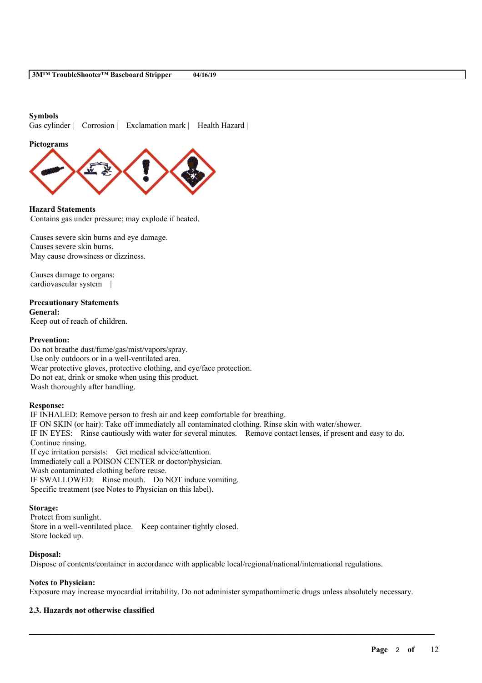### **Symbols**

Gas cylinder | Corrosion | Exclamation mark | Health Hazard |

**Pictograms**



**Hazard Statements** Contains gas under pressure; may explode if heated.

Causes severe skin burns and eye damage. Causes severe skin burns. May cause drowsiness or dizziness.

Causes damage to organs: cardiovascular system |

### **Precautionary Statements**

**General:** Keep out of reach of children.

### **Prevention:**

Do not breathe dust/fume/gas/mist/vapors/spray. Use only outdoors or in a well-ventilated area. Wear protective gloves, protective clothing, and eye/face protection. Do not eat, drink or smoke when using this product. Wash thoroughly after handling.

### **Response:**

IF INHALED: Remove person to fresh air and keep comfortable for breathing. IF ON SKIN (or hair): Take off immediately all contaminated clothing. Rinse skin with water/shower. IF IN EYES: Rinse cautiously with water for several minutes. Remove contact lenses, if present and easy to do. Continue rinsing. If eye irritation persists: Get medical advice/attention. Immediately call a POISON CENTER or doctor/physician. Wash contaminated clothing before reuse. IF SWALLOWED: Rinse mouth. Do NOT induce vomiting. Specific treatment (see Notes to Physician on this label).

### **Storage:**

Protect from sunlight. Store in a well-ventilated place. Keep container tightly closed. Store locked up.

### **Disposal:**

Dispose of contents/container in accordance with applicable local/regional/national/international regulations.

### **Notes to Physician:**

Exposure may increase myocardial irritability. Do not administer sympathomimetic drugs unless absolutely necessary.

 $\mathcal{L}_\mathcal{L} = \mathcal{L}_\mathcal{L} = \mathcal{L}_\mathcal{L} = \mathcal{L}_\mathcal{L} = \mathcal{L}_\mathcal{L} = \mathcal{L}_\mathcal{L} = \mathcal{L}_\mathcal{L} = \mathcal{L}_\mathcal{L} = \mathcal{L}_\mathcal{L} = \mathcal{L}_\mathcal{L} = \mathcal{L}_\mathcal{L} = \mathcal{L}_\mathcal{L} = \mathcal{L}_\mathcal{L} = \mathcal{L}_\mathcal{L} = \mathcal{L}_\mathcal{L} = \mathcal{L}_\mathcal{L} = \mathcal{L}_\mathcal{L}$ 

### **2.3. Hazards not otherwise classified**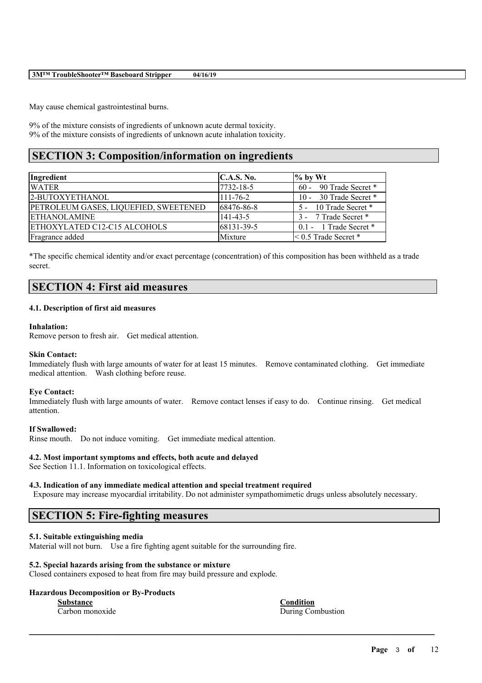| 3M™ TroubleShooter™ Baseboard Stripper | 04/16/19 |  |
|----------------------------------------|----------|--|
|----------------------------------------|----------|--|

May cause chemical gastrointestinal burns.

9% of the mixture consists of ingredients of unknown acute dermal toxicity. 9% of the mixture consists of ingredients of unknown acute inhalation toxicity.

# **SECTION 3: Composition/information on ingredients**

| Ingredient                            | C.A.S. No.     | $\%$ by Wt                  |
|---------------------------------------|----------------|-----------------------------|
| <b>WATER</b>                          | 7732-18-5      | $60 - 90$ Trade Secret *    |
| 2-BUTOXYETHANOL                       | $111 - 76 - 2$ | 10 - 30 Trade Secret *      |
| PETROLEUM GASES, LIQUEFIED, SWEETENED | 68476-86-8     | 5 - 10 Trade Secret *       |
| <b>ETHANOLAMINE</b>                   | $141 - 43 - 5$ | 3 - 7 Trade Secret *        |
| ETHOXYLATED C12-C15 ALCOHOLS          | 68131-39-5     | $0.1 - 1$ Trade Secret $*$  |
| Fragrance added                       | Mixture        | $\leq$ 0.5 Trade Secret $*$ |

\*The specific chemical identity and/or exact percentage (concentration) of this composition has been withheld as a trade secret.

# **SECTION 4: First aid measures**

### **4.1. Description of first aid measures**

#### **Inhalation:**

Remove person to fresh air. Get medical attention.

### **Skin Contact:**

Immediately flush with large amounts of water for at least 15 minutes. Remove contaminated clothing. Get immediate medical attention. Wash clothing before reuse.

#### **Eye Contact:**

Immediately flush with large amounts of water. Remove contact lenses if easy to do. Continue rinsing. Get medical attention.

#### **If Swallowed:**

Rinse mouth. Do not induce vomiting. Get immediate medical attention.

#### **4.2. Most important symptoms and effects, both acute and delayed**

See Section 11.1. Information on toxicological effects.

### **4.3. Indication of any immediate medical attention and special treatment required**

Exposure may increase myocardial irritability. Do not administer sympathomimetic drugs unless absolutely necessary.

 $\mathcal{L}_\mathcal{L} = \mathcal{L}_\mathcal{L} = \mathcal{L}_\mathcal{L} = \mathcal{L}_\mathcal{L} = \mathcal{L}_\mathcal{L} = \mathcal{L}_\mathcal{L} = \mathcal{L}_\mathcal{L} = \mathcal{L}_\mathcal{L} = \mathcal{L}_\mathcal{L} = \mathcal{L}_\mathcal{L} = \mathcal{L}_\mathcal{L} = \mathcal{L}_\mathcal{L} = \mathcal{L}_\mathcal{L} = \mathcal{L}_\mathcal{L} = \mathcal{L}_\mathcal{L} = \mathcal{L}_\mathcal{L} = \mathcal{L}_\mathcal{L}$ 

# **SECTION 5: Fire-fighting measures**

### **5.1. Suitable extinguishing media**

Material will not burn. Use a fire fighting agent suitable for the surrounding fire.

### **5.2. Special hazards arising from the substance or mixture**

Closed containers exposed to heat from fire may build pressure and explode.

#### **Hazardous Decomposition or By-Products**

**Substance Condition**

Carbon monoxide During Combustion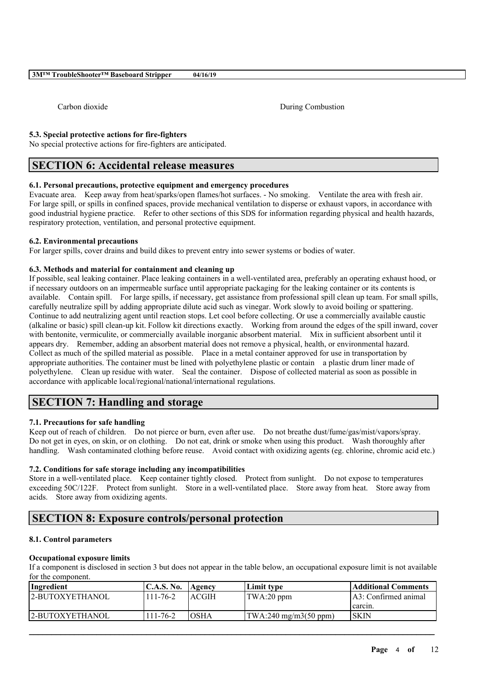Carbon dioxide During Combustion

**5.3. Special protective actions for fire-fighters**

No special protective actions for fire-fighters are anticipated.

# **SECTION 6: Accidental release measures**

### **6.1. Personal precautions, protective equipment and emergency procedures**

Evacuate area. Keep away from heat/sparks/open flames/hot surfaces. - No smoking. Ventilate the area with fresh air. For large spill, or spills in confined spaces, provide mechanical ventilation to disperse or exhaust vapors, in accordance with good industrial hygiene practice. Refer to other sections of this SDS for information regarding physical and health hazards, respiratory protection, ventilation, and personal protective equipment.

### **6.2. Environmental precautions**

For larger spills, cover drains and build dikes to prevent entry into sewer systems or bodies of water.

### **6.3. Methods and material for containment and cleaning up**

If possible, seal leaking container. Place leaking containers in a well-ventilated area, preferably an operating exhaust hood, or if necessary outdoors on an impermeable surface until appropriate packaging for the leaking container or its contents is available. Contain spill. For large spills, if necessary, get assistance from professional spill clean up team. For small spills, carefully neutralize spill by adding appropriate dilute acid such as vinegar. Work slowly to avoid boiling or spattering. Continue to add neutralizing agent until reaction stops. Let cool before collecting. Or use a commercially available caustic (alkaline or basic) spill clean-up kit. Follow kit directions exactly. Working from around the edges of the spill inward, cover with bentonite, vermiculite, or commercially available inorganic absorbent material. Mix in sufficient absorbent until it appears dry. Remember, adding an absorbent material does not remove a physical, health, or environmental hazard. Collect as much of the spilled material as possible. Place in a metal container approved for use in transportation by appropriate authorities. The container must be lined with polyethylene plastic or contain a plastic drum liner made of polyethylene. Clean up residue with water. Seal the container. Dispose of collected material as soon as possible in accordance with applicable local/regional/national/international regulations.

# **SECTION 7: Handling and storage**

### **7.1. Precautions for safe handling**

Keep out of reach of children. Do not pierce or burn, even after use. Do not breathe dust/fume/gas/mist/vapors/spray. Do not get in eyes, on skin, or on clothing. Do not eat, drink or smoke when using this product. Wash thoroughly after handling. Wash contaminated clothing before reuse. Avoid contact with oxidizing agents (eg. chlorine, chromic acid etc.)

### **7.2. Conditions for safe storage including any incompatibilities**

Store in a well-ventilated place. Keep container tightly closed. Protect from sunlight. Do not expose to temperatures exceeding 50C/122F. Protect from sunlight. Store in a well-ventilated place. Store away from heat. Store away from acids. Store away from oxidizing agents.

# **SECTION 8: Exposure controls/personal protection**

### **8.1. Control parameters**

### **Occupational exposure limits**

If a component is disclosed in section 3 but does not appear in the table below, an occupational exposure limit is not available for the component.

| Ingredient             | <b>C.A.S. No.</b> | Agency       | Limit type                                     | Additional Comments    |
|------------------------|-------------------|--------------|------------------------------------------------|------------------------|
| <b>2-BUTOXYETHANOL</b> | $111 - 76 - 2$    | <b>ACGIH</b> | $'TWA:20$ ppm                                  | [A3: Confirmed animal] |
|                        |                   |              |                                                | carcin.                |
| 2-BUTOXYETHANOL        | $111 - 76 - 2$    | IOSHA        | $\text{TWA:}240 \text{ mg/m}3(50 \text{ ppm})$ | ISKIN                  |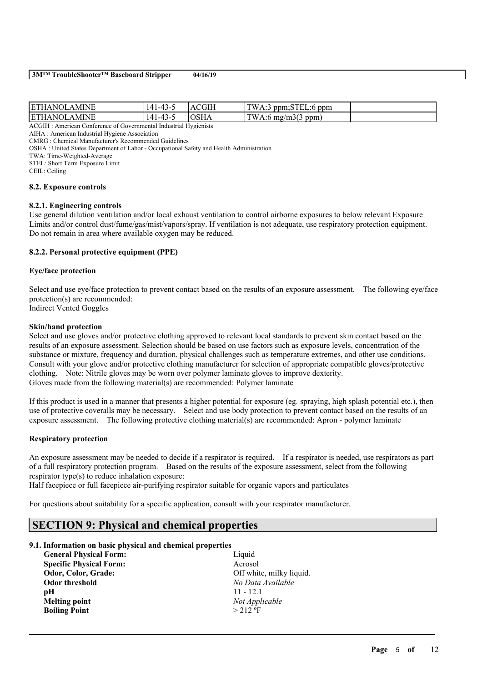| <b>ETHANOL</b><br>AMINE | $\boldsymbol{\Lambda}$<br>1 – 4 1 –<br>᠇৴ | <b>CGIH</b><br>$\Delta$ | TW.<br>ppm<br>$ppm;$ STEL:6<br>A.5 |  |
|-------------------------|-------------------------------------------|-------------------------|------------------------------------|--|
| <b>ETHANOL</b><br>AMINE | $\boldsymbol{\Lambda}$<br>-43-            | $\gamma$ SHA            | TW<br>A:6 mg/m $3(3 \text{ ppm})$  |  |

ACGIH : American Conference of Governmental Industrial Hygienists

AIHA : American Industrial Hygiene Association CMRG : Chemical Manufacturer's Recommended Guidelines

OSHA : United States Department of Labor - Occupational Safety and Health Administration

TWA: Time-Weighted-Average

STEL: Short Term Exposure Limit

CEIL: Ceiling

#### **8.2. Exposure controls**

### **8.2.1. Engineering controls**

Use general dilution ventilation and/or local exhaust ventilation to control airborne exposures to below relevant Exposure Limits and/or control dust/fume/gas/mist/vapors/spray. If ventilation is not adequate, use respiratory protection equipment. Do not remain in area where available oxygen may be reduced.

### **8.2.2. Personal protective equipment (PPE)**

### **Eye/face protection**

Select and use eye/face protection to prevent contact based on the results of an exposure assessment. The following eye/face protection(s) are recommended: Indirect Vented Goggles

#### **Skin/hand protection**

Select and use gloves and/or protective clothing approved to relevant local standards to prevent skin contact based on the results of an exposure assessment. Selection should be based on use factors such as exposure levels, concentration of the substance or mixture, frequency and duration, physical challenges such as temperature extremes, and other use conditions. Consult with your glove and/or protective clothing manufacturer for selection of appropriate compatible gloves/protective clothing. Note: Nitrile gloves may be worn over polymer laminate gloves to improve dexterity. Gloves made from the following material(s) are recommended: Polymer laminate

If this product is used in a manner that presents a higher potential for exposure (eg. spraying, high splash potential etc.), then use of protective coveralls may be necessary. Select and use body protection to prevent contact based on the results of an exposure assessment. The following protective clothing material(s) are recommended: Apron - polymer laminate

### **Respiratory protection**

An exposure assessment may be needed to decide if a respirator is required. If a respirator is needed, use respirators as part of a full respiratory protection program. Based on the results of the exposure assessment, select from the following respirator type(s) to reduce inhalation exposure:

 $\mathcal{L}_\mathcal{L} = \mathcal{L}_\mathcal{L} = \mathcal{L}_\mathcal{L} = \mathcal{L}_\mathcal{L} = \mathcal{L}_\mathcal{L} = \mathcal{L}_\mathcal{L} = \mathcal{L}_\mathcal{L} = \mathcal{L}_\mathcal{L} = \mathcal{L}_\mathcal{L} = \mathcal{L}_\mathcal{L} = \mathcal{L}_\mathcal{L} = \mathcal{L}_\mathcal{L} = \mathcal{L}_\mathcal{L} = \mathcal{L}_\mathcal{L} = \mathcal{L}_\mathcal{L} = \mathcal{L}_\mathcal{L} = \mathcal{L}_\mathcal{L}$ 

Half facepiece or full facepiece air-purifying respirator suitable for organic vapors and particulates

For questions about suitability for a specific application, consult with your respirator manufacturer.

# **SECTION 9: Physical and chemical properties**

### **9.1. Information on basic physical and chemical properties**

| <b>General Physical Form:</b>  | Liquid                   |
|--------------------------------|--------------------------|
| <b>Specific Physical Form:</b> | Aerosol                  |
| Odor, Color, Grade:            | Off white, milky liquid. |
| Odor threshold                 | No Data Available        |
| рH                             | $11 - 12.1$              |
| <b>Melting point</b>           | Not Applicable           |
| <b>Boiling Point</b>           | $>212$ °F                |
|                                |                          |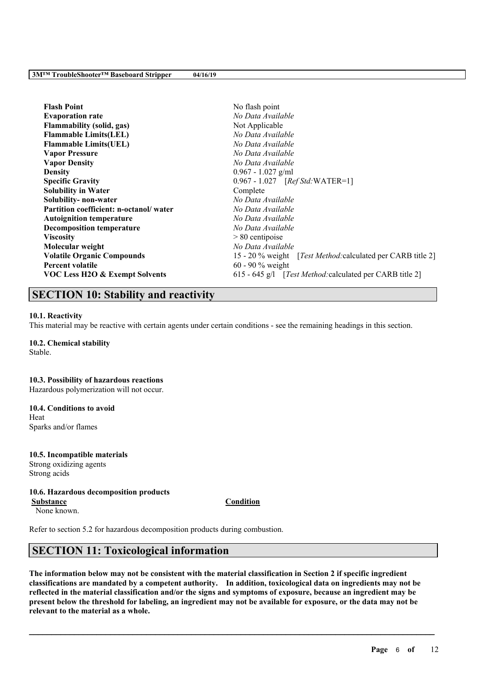| <b>Flash Point</b>                        | No flash point                                                      |
|-------------------------------------------|---------------------------------------------------------------------|
| <b>Evaporation rate</b>                   | No Data Available                                                   |
| <b>Flammability (solid, gas)</b>          | Not Applicable                                                      |
| <b>Flammable Limits(LEL)</b>              | No Data Available                                                   |
| <b>Flammable Limits(UEL)</b>              | No Data Available                                                   |
| <b>Vapor Pressure</b>                     | No Data Available                                                   |
| <b>Vapor Density</b>                      | No Data Available                                                   |
| <b>Density</b>                            | $0.967 - 1.027$ g/ml                                                |
| <b>Specific Gravity</b>                   | 0.967 - 1.027 [Ref Std: WATER=1]                                    |
| <b>Solubility in Water</b>                | Complete                                                            |
| Solubility- non-water                     | No Data Available                                                   |
| Partition coefficient: n-octanol/water    | No Data Available                                                   |
| <b>Autoignition temperature</b>           | No Data Available                                                   |
| <b>Decomposition temperature</b>          | No Data Available                                                   |
| <b>Viscosity</b>                          | $> 80$ centipoise                                                   |
| Molecular weight                          | No Data Available                                                   |
| <b>Volatile Organic Compounds</b>         | 15 - 20 % weight [ <i>Test Method:calculated per CARB title 2</i> ] |
| <b>Percent volatile</b>                   | 60 - 90 $%$ weight                                                  |
| <b>VOC Less H2O &amp; Exempt Solvents</b> | 615 - 645 g/l [Test Method: calculated per CARB title 2]            |

# **SECTION 10: Stability and reactivity**

### **10.1. Reactivity**

This material may be reactive with certain agents under certain conditions - see the remaining headings in this section.

### **10.2. Chemical stability**

Stable.

### **10.3. Possibility of hazardous reactions**

Hazardous polymerization will not occur.

# **10.4. Conditions to avoid**

Heat Sparks and/or flames

# **10.5. Incompatible materials**

Strong oxidizing agents Strong acids

### **10.6. Hazardous decomposition products**

**Substance Condition**

None known.

Refer to section 5.2 for hazardous decomposition products during combustion.

# **SECTION 11: Toxicological information**

The information below may not be consistent with the material classification in Section 2 if specific ingredient **classifications are mandated by a competent authority. In addition, toxicological data on ingredients may not be** reflected in the material classification and/or the signs and symptoms of exposure, because an ingredient may be present below the threshold for labeling, an ingredient may not be available for exposure, or the data may not be **relevant to the material as a whole.**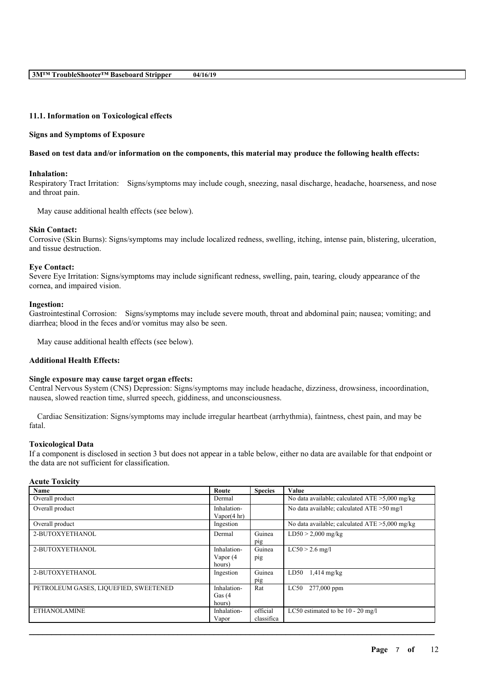### **11.1. Information on Toxicological effects**

#### **Signs and Symptoms of Exposure**

#### Based on test data and/or information on the components, this material may produce the following health effects:

### **Inhalation:**

Respiratory Tract Irritation: Signs/symptoms may include cough, sneezing, nasal discharge, headache, hoarseness, and nose and throat pain.

May cause additional health effects (see below).

### **Skin Contact:**

Corrosive (Skin Burns): Signs/symptoms may include localized redness, swelling, itching, intense pain, blistering, ulceration, and tissue destruction.

#### **Eye Contact:**

Severe Eye Irritation: Signs/symptoms may include significant redness, swelling, pain, tearing, cloudy appearance of the cornea, and impaired vision.

#### **Ingestion:**

Gastrointestinal Corrosion: Signs/symptoms may include severe mouth, throat and abdominal pain; nausea; vomiting; and diarrhea; blood in the feces and/or vomitus may also be seen.

May cause additional health effects (see below).

### **Additional Health Effects:**

#### **Single exposure may cause target organ effects:**

Central Nervous System (CNS) Depression: Signs/symptoms may include headache, dizziness, drowsiness, incoordination, nausea, slowed reaction time, slurred speech, giddiness, and unconsciousness.

Cardiac Sensitization: Signs/symptoms may include irregular heartbeat (arrhythmia), faintness, chest pain, and may be fatal.

#### **Toxicological Data**

If a component is disclosed in section 3 but does not appear in a table below, either no data are available for that endpoint or the data are not sufficient for classification.

| <b>Acute Toxicity</b> |  |
|-----------------------|--|
|-----------------------|--|

| <b>Name</b>                           | Route          | <b>Species</b> | Value                                             |
|---------------------------------------|----------------|----------------|---------------------------------------------------|
| Overall product                       | Dermal         |                | No data available; calculated $ATE > 5,000$ mg/kg |
| Overall product                       | Inhalation-    |                | No data available; calculated ATE > 50 mg/l       |
|                                       | Vapor $(4 hr)$ |                |                                                   |
| Overall product                       | Ingestion      |                | No data available; calculated $ATE > 5,000$ mg/kg |
| 2-BUTOXYETHANOL                       | Dermal         | Guinea         | $LD50 > 2,000$ mg/kg                              |
|                                       |                | pig            |                                                   |
| 2-BUTOXYETHANOL                       | Inhalation-    | Guinea         | $LC50 > 2.6$ mg/l                                 |
|                                       | Vapor (4       | pig            |                                                   |
|                                       | hours)         |                |                                                   |
| 2-BUTOXYETHANOL                       | Ingestion      | Guinea         | LD50<br>$1,414$ mg/kg                             |
|                                       |                | pig            |                                                   |
| PETROLEUM GASES, LIQUEFIED, SWEETENED | Inhalation-    | Rat            | 277,000 ppm<br>LC50                               |
|                                       | Gas $(4)$      |                |                                                   |
|                                       | hours)         |                |                                                   |
| <b>ETHANOLAMINE</b>                   | Inhalation-    | official       | LC50 estimated to be $10 - 20$ mg/l               |
|                                       | Vapor          | classifica     |                                                   |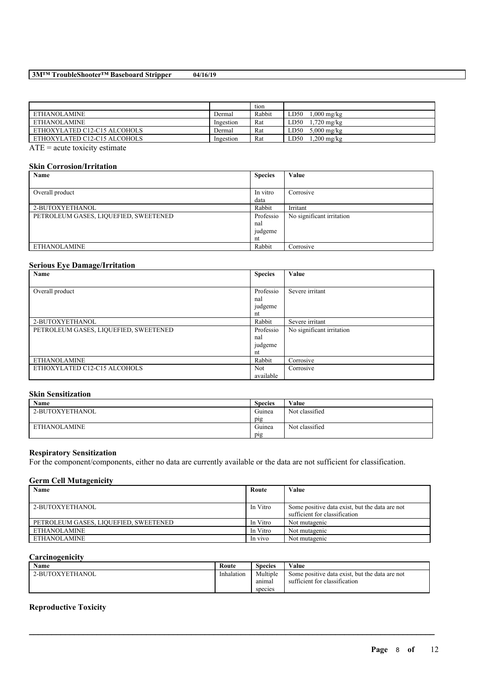### **3M™ TroubleShooter™ Baseboard Stripper 04/16/19**

|                                                                  |           | tion   |                              |
|------------------------------------------------------------------|-----------|--------|------------------------------|
| ETHANOLAMINE                                                     | Dermal    | Rabbit | LD50<br>$.000 \text{ mg/kg}$ |
| <b>ETHANOLAMINE</b>                                              | Ingestion | Rat    | .720 mg/kg<br>LD50           |
| ETHOXYLATED C12-C15 ALCOHOLS                                     | Dermal    | Rat    | $5,000$ mg/kg<br>LD50        |
| ETHOXYLATED C12-C15 ALCOHOLS                                     | Ingestion | Rat    | .,200 mg/kg<br>LD50          |
| $\Lambda \text{ TE} = \text{const}$ to $\Lambda$ is a stimulate. |           |        |                              |

ATE = acute toxicity estimate

#### **Skin Corrosion/Irritation**

| Name                                  | <b>Species</b> | Value                     |
|---------------------------------------|----------------|---------------------------|
|                                       |                |                           |
| Overall product                       | In vitro       | Corrosive                 |
|                                       | data           |                           |
| 2-BUTOXYETHANOL                       | Rabbit         | Irritant                  |
| PETROLEUM GASES, LIQUEFIED, SWEETENED | Professio      | No significant irritation |
|                                       | nal            |                           |
|                                       | judgeme        |                           |
|                                       | nt             |                           |
| <b>ETHANOLAMINE</b>                   | Rabbit         | Corrosive                 |

### **Serious Eye Damage/Irritation**

| $\tilde{\phantom{a}}$<br>Name         | <b>Species</b> | Value                     |
|---------------------------------------|----------------|---------------------------|
|                                       |                |                           |
| Overall product                       | Professio      | Severe irritant           |
|                                       | nal            |                           |
|                                       | judgeme        |                           |
|                                       | nt             |                           |
| 2-BUTOXYETHANOL                       | Rabbit         | Severe irritant           |
| PETROLEUM GASES, LIQUEFIED, SWEETENED | Professio      | No significant irritation |
|                                       | nal            |                           |
|                                       | judgeme        |                           |
|                                       | nt             |                           |
| <b>ETHANOLAMINE</b>                   | Rabbit         | Corrosive                 |
| ETHOXYLATED C12-C15 ALCOHOLS          | <b>Not</b>     | Corrosive                 |
|                                       | available      |                           |

### **Skin Sensitization**

| Name                | <b>Species</b> | Value          |
|---------------------|----------------|----------------|
| 2-BUTOXYETHANOL     | Guinea         | Not classified |
|                     | pig            |                |
| <b>ETHANOLAMINE</b> | Guinea         | Not classified |
|                     | pig            |                |

### **Respiratory Sensitization**

For the component/components, either no data are currently available or the data are not sufficient for classification.

### **Germ Cell Mutagenicity**

| Name                                  | Route    | Value                                          |
|---------------------------------------|----------|------------------------------------------------|
|                                       |          |                                                |
| 2-BUTOXYETHANOL                       | In Vitro | Some positive data exist, but the data are not |
|                                       |          | sufficient for classification                  |
| PETROLEUM GASES, LIQUEFIED, SWEETENED | In Vitro | Not mutagenic                                  |
| ETHANOLAMINE                          | In Vitro | Not mutagenic                                  |
| ETHANOLAMINE                          | In vivo  | Not mutagenic                                  |

### **Carcinogenicity**

| <b>Name</b>     | Route      | Species  | Value                                          |
|-----------------|------------|----------|------------------------------------------------|
| 2-BUTOXYETHANOL | Inhalation | Multiple | Some positive data exist, but the data are not |
|                 |            | anıma    | sufficient for classification                  |
|                 |            | species  |                                                |

 $\mathcal{L}_\mathcal{L} = \mathcal{L}_\mathcal{L} = \mathcal{L}_\mathcal{L} = \mathcal{L}_\mathcal{L} = \mathcal{L}_\mathcal{L} = \mathcal{L}_\mathcal{L} = \mathcal{L}_\mathcal{L} = \mathcal{L}_\mathcal{L} = \mathcal{L}_\mathcal{L} = \mathcal{L}_\mathcal{L} = \mathcal{L}_\mathcal{L} = \mathcal{L}_\mathcal{L} = \mathcal{L}_\mathcal{L} = \mathcal{L}_\mathcal{L} = \mathcal{L}_\mathcal{L} = \mathcal{L}_\mathcal{L} = \mathcal{L}_\mathcal{L}$ 

# **Reproductive Toxicity**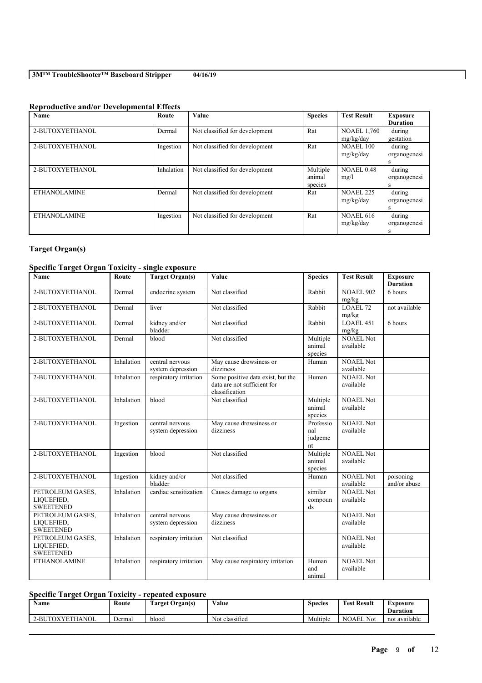# **Reproductive and/or Developmental Effects**

| Name                | Route      | Value                          | <b>Species</b> | <b>Test Result</b> | <b>Exposure</b> |
|---------------------|------------|--------------------------------|----------------|--------------------|-----------------|
|                     |            |                                |                |                    | <b>Duration</b> |
| 2-BUTOXYETHANOL     | Dermal     | Not classified for development | Rat            | <b>NOAEL 1,760</b> | during          |
|                     |            |                                |                | mg/kg/day          | gestation       |
| 2-BUTOXYETHANOL     | Ingestion  | Not classified for development | Rat            | <b>NOAEL 100</b>   | during          |
|                     |            |                                |                | mg/kg/day          | organogenesi    |
|                     |            |                                |                |                    | s               |
| 2-BUTOXYETHANOL     | Inhalation | Not classified for development | Multiple       | <b>NOAEL 0.48</b>  | during          |
|                     |            |                                | animal         | mg/l               | organogenesi    |
|                     |            |                                | species        |                    | s               |
| <b>ETHANOLAMINE</b> | Dermal     | Not classified for development | Rat            | <b>NOAEL 225</b>   | during          |
|                     |            |                                |                | mg/kg/day          | organogenesi    |
|                     |            |                                |                |                    | s               |
| <b>ETHANOLAMINE</b> | Ingestion  | Not classified for development | Rat            | <b>NOAEL 616</b>   | during          |
|                     |            |                                |                | mg/kg/day          | organogenesi    |
|                     |            |                                |                |                    |                 |

# **Target Organ(s)**

# **Specific Target Organ Toxicity - single exposure**

| <b>Name</b>                                        | Route      | <b>Target Organ(s)</b>               | Value                                                                              | <b>Species</b>                               | <b>Test Result</b>            | <b>Exposure</b><br><b>Duration</b> |
|----------------------------------------------------|------------|--------------------------------------|------------------------------------------------------------------------------------|----------------------------------------------|-------------------------------|------------------------------------|
| 2-BUTOXYETHANOL                                    | Dermal     | endocrine system                     | Not classified                                                                     | Rabbit                                       | <b>NOAEL 902</b><br>mg/kg     | 6 hours                            |
| 2-BUTOXYETHANOL                                    | Dermal     | liver                                | Not classified                                                                     | Rabbit                                       | LOAEL 72<br>mg/kg             | not available                      |
| 2-BUTOXYETHANOL                                    | Dermal     | kidney and/or<br>bladder             | Not classified                                                                     | Rabbit                                       | <b>LOAEL 451</b><br>mg/kg     | 6 hours                            |
| 2-BUTOXYETHANOL                                    | Dermal     | blood                                | Not classified                                                                     | Multiple<br>animal<br>species                | <b>NOAEL Not</b><br>available |                                    |
| 2-BUTOXYETHANOL                                    | Inhalation | central nervous<br>system depression | May cause drowsiness or<br>dizziness                                               | Human                                        | NOAEL Not<br>available        |                                    |
| 2-BUTOXYETHANOL                                    | Inhalation | respiratory irritation               | Some positive data exist, but the<br>data are not sufficient for<br>classification | Human                                        | <b>NOAEL Not</b><br>available |                                    |
| 2-BUTOXYETHANOL                                    | Inhalation | blood                                | Not classified                                                                     | Multiple<br>animal<br>species                | NOAEL Not<br>available        |                                    |
| 2-BUTOXYETHANOL                                    | Ingestion  | central nervous<br>system depression | May cause drowsiness or<br>dizziness                                               | Professio<br>nal<br>judgeme<br>nt            | NOAEL Not<br>available        |                                    |
| 2-BUTOXYETHANOL                                    | Ingestion  | blood                                | Not classified                                                                     | Multiple<br>animal<br>species                | <b>NOAEL Not</b><br>available |                                    |
| 2-BUTOXYETHANOL                                    | Ingestion  | kidney and/or<br>bladder             | Not classified                                                                     | Human                                        | <b>NOAEL Not</b><br>available | poisoning<br>and/or abuse          |
| PETROLEUM GASES,<br>LIQUEFIED,<br><b>SWEETENED</b> | Inhalation | cardiac sensitization                | Causes damage to organs                                                            | similar<br>compoun<br>$\mathrm{d}\mathrm{s}$ | <b>NOAEL Not</b><br>available |                                    |
| PETROLEUM GASES,<br>LIQUEFIED,<br><b>SWEETENED</b> | Inhalation | central nervous<br>system depression | May cause drowsiness or<br>dizziness                                               |                                              | <b>NOAEL Not</b><br>available |                                    |
| PETROLEUM GASES.<br>LIQUEFIED,<br><b>SWEETENED</b> | Inhalation | respiratory irritation               | Not classified                                                                     |                                              | <b>NOAEL Not</b><br>available |                                    |
| <b>ETHANOLAMINE</b>                                | Inhalation | respiratory irritation               | May cause respiratory irritation                                                   | Human<br>and<br>animal                       | <b>NOAEL Not</b><br>available |                                    |

# **Specific Target Organ Toxicity - repeated exposure**

| <b>Name</b>           | Route  | <b>CONTRACTOR</b><br>Target Organ(s) | Value                       | Species  | <b>Test Result</b> | Exposure<br><b>Duration</b> |
|-----------------------|--------|--------------------------------------|-----------------------------|----------|--------------------|-----------------------------|
| TOXYETHANOL<br>$2-BU$ | Dermal | blood                                | $\sim$<br>Not<br>classified | Multiple | <b>NOAEL Not</b>   | not available               |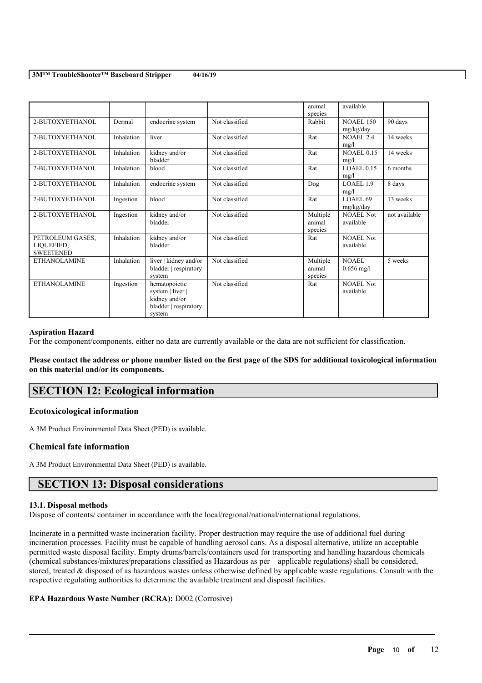|                     |            |                       |                | animal<br>species | available         |               |
|---------------------|------------|-----------------------|----------------|-------------------|-------------------|---------------|
|                     |            |                       |                |                   |                   |               |
| 2-BUTOXYETHANOL     | Dermal     | endocrine system      | Not classified | Rabbit            | <b>NOAEL 150</b>  | 90 days       |
|                     |            |                       |                |                   | mg/kg/day         |               |
| 2-BUTOXYETHANOL     | Inhalation | liver                 | Not classified | Rat               | <b>NOAEL 2.4</b>  | 14 weeks      |
|                     |            |                       |                |                   | mg/l              |               |
| 2-BUTOXYETHANOL     | Inhalation |                       | Not classified | Rat               | <b>NOAEL 0.15</b> | 14 weeks      |
|                     |            | kidney and/or         |                |                   |                   |               |
|                     |            | bladder               |                |                   | mg/l              |               |
| 2-BUTOXYETHANOL     | Inhalation | blood                 | Not classified | Rat               | $LOAEL$ 0.15      | 6 months      |
|                     |            |                       |                |                   | mg/l              |               |
| 2-BUTOXYETHANOL     | Inhalation | endocrine system      | Not classified | Dog               | LOAEL 1.9         | 8 days        |
|                     |            |                       |                |                   | mg/l              |               |
|                     |            |                       |                |                   |                   |               |
| 2-BUTOXYETHANOL     | Ingestion  | blood                 | Not classified | Rat               | LOAEL 69          | 13 weeks      |
|                     |            |                       |                |                   | mg/kg/day         |               |
| 2-BUTOXYETHANOL     | Ingestion  | kidney and/or         | Not classified | Multiple          | <b>NOAEL Not</b>  | not available |
|                     |            | bladder               |                | animal            | available         |               |
|                     |            |                       |                | species           |                   |               |
|                     | Inhalation |                       | Not classified |                   | <b>NOAEL Not</b>  |               |
| PETROLEUM GASES,    |            | kidney and/or         |                | Rat               |                   |               |
| LIQUEFIED,          |            | bladder               |                |                   | available         |               |
| <b>SWEETENED</b>    |            |                       |                |                   |                   |               |
| <b>ETHANOLAMINE</b> | Inhalation | liver   kidney and/or | Not classified | Multiple          | <b>NOAEL</b>      | 5 weeks       |
|                     |            | bladder   respiratory |                | animal            | $0.656$ mg/l      |               |
|                     |            | system                |                | species           |                   |               |
| <b>ETHANOLAMINE</b> |            |                       | Not classified |                   | <b>NOAEL Not</b>  |               |
|                     | Ingestion  | hematopoietic         |                | Rat               |                   |               |
|                     |            | system   liver        |                |                   | available         |               |
|                     |            | kidney and/or         |                |                   |                   |               |
|                     |            | bladder   respiratory |                |                   |                   |               |
|                     |            | system                |                |                   |                   |               |
|                     |            |                       |                |                   |                   |               |

### **Aspiration Hazard**

For the component/components, either no data are currently available or the data are not sufficient for classification.

Please contact the address or phone number listed on the first page of the SDS for additional toxicological information **on this material and/or its components.**

# **SECTION 12: Ecological information**

### **Ecotoxicological information**

A 3M Product Environmental Data Sheet (PED) is available.

### **Chemical fate information**

A 3M Product Environmental Data Sheet (PED) is available.

# **SECTION 13: Disposal considerations**

### **13.1. Disposal methods**

Dispose of contents/ container in accordance with the local/regional/national/international regulations.

Incinerate in a permitted waste incineration facility. Proper destruction may require the use of additional fuel during incineration processes. Facility must be capable of handling aerosol cans. As a disposal alternative, utilize an acceptable permitted waste disposal facility. Empty drums/barrels/containers used for transporting and handling hazardous chemicals (chemical substances/mixtures/preparations classified as Hazardous as per applicable regulations) shall be considered, stored, treated & disposed of as hazardous wastes unless otherwise defined by applicable waste regulations. Consult with the respective regulating authorities to determine the available treatment and disposal facilities.

 $\mathcal{L}_\mathcal{L} = \mathcal{L}_\mathcal{L} = \mathcal{L}_\mathcal{L} = \mathcal{L}_\mathcal{L} = \mathcal{L}_\mathcal{L} = \mathcal{L}_\mathcal{L} = \mathcal{L}_\mathcal{L} = \mathcal{L}_\mathcal{L} = \mathcal{L}_\mathcal{L} = \mathcal{L}_\mathcal{L} = \mathcal{L}_\mathcal{L} = \mathcal{L}_\mathcal{L} = \mathcal{L}_\mathcal{L} = \mathcal{L}_\mathcal{L} = \mathcal{L}_\mathcal{L} = \mathcal{L}_\mathcal{L} = \mathcal{L}_\mathcal{L}$ 

### **EPA Hazardous Waste Number (RCRA):** D002 (Corrosive)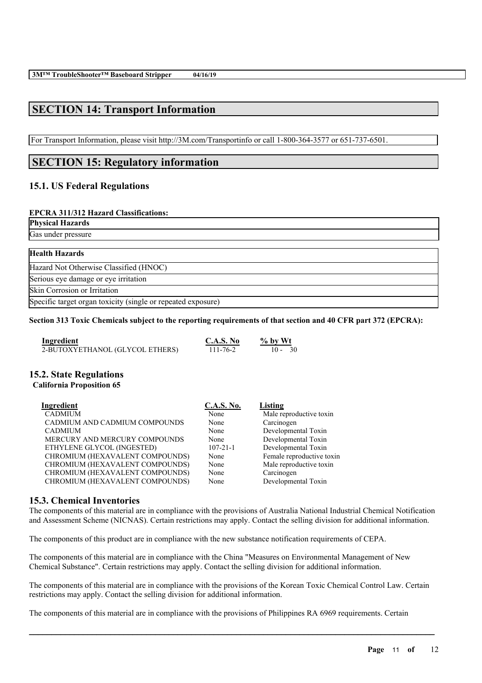# **SECTION 14: Transport Information**

For Transport Information, please visit http://3M.com/Transportinfo or call 1-800-364-3577 or 651-737-6501.

# **SECTION 15: Regulatory information**

# **15.1. US Federal Regulations**

### **EPCRA 311/312 Hazard Classifications:**

### **Physical Hazards**

Gas under pressure

| <b>Health Hazards</b>                                        |  |
|--------------------------------------------------------------|--|
| Hazard Not Otherwise Classified (HNOC)                       |  |
| Serious eye damage or eye irritation                         |  |
| <b>Skin Corrosion or Irritation</b>                          |  |
| Specific target organ toxicity (single or repeated exposure) |  |

### Section 313 Toxic Chemicals subject to the reporting requirements of that section and 40 CFR part 372 (EPCRA):

| Ingredient                      | C.A.S. No      | $%$ by Wt |
|---------------------------------|----------------|-----------|
| 2-BUTOXYETHANOL (GLYCOL ETHERS) | $111 - 76 - 2$ | $10 - 30$ |

### **15.2. State Regulations**

### **California Proposition 65**

| Ingredient                      | <b>C.A.S. No.</b> | Listing                   |
|---------------------------------|-------------------|---------------------------|
| <b>CADMIUM</b>                  | None              | Male reproductive toxin   |
| CADMIUM AND CADMIUM COMPOUNDS   | None              | Carcinogen                |
| <b>CADMIUM</b>                  | None              | Developmental Toxin       |
| MERCURY AND MERCURY COMPOUNDS   | None              | Developmental Toxin       |
| ETHYLENE GLYCOL (INGESTED)      | $107 - 21 - 1$    | Developmental Toxin       |
| CHROMIUM (HEXAVALENT COMPOUNDS) | None              | Female reproductive toxin |
| CHROMIUM (HEXAVALENT COMPOUNDS) | None              | Male reproductive toxin   |
| CHROMIUM (HEXAVALENT COMPOUNDS) | None              | Carcinogen                |
| CHROMIUM (HEXAVALENT COMPOUNDS) | None              | Developmental Toxin       |

### **15.3. Chemical Inventories**

The components of this material are in compliance with the provisions of Australia National Industrial Chemical Notification and Assessment Scheme (NICNAS). Certain restrictions may apply. Contact the selling division for additional information.

The components of this product are in compliance with the new substance notification requirements of CEPA.

The components of this material are in compliance with the China "Measures on Environmental Management of New Chemical Substance". Certain restrictions may apply. Contact the selling division for additional information.

The components of this material are in compliance with the provisions of the Korean Toxic Chemical Control Law. Certain restrictions may apply. Contact the selling division for additional information.

 $\mathcal{L}_\mathcal{L} = \mathcal{L}_\mathcal{L} = \mathcal{L}_\mathcal{L} = \mathcal{L}_\mathcal{L} = \mathcal{L}_\mathcal{L} = \mathcal{L}_\mathcal{L} = \mathcal{L}_\mathcal{L} = \mathcal{L}_\mathcal{L} = \mathcal{L}_\mathcal{L} = \mathcal{L}_\mathcal{L} = \mathcal{L}_\mathcal{L} = \mathcal{L}_\mathcal{L} = \mathcal{L}_\mathcal{L} = \mathcal{L}_\mathcal{L} = \mathcal{L}_\mathcal{L} = \mathcal{L}_\mathcal{L} = \mathcal{L}_\mathcal{L}$ 

The components of this material are in compliance with the provisions of Philippines RA 6969 requirements. Certain